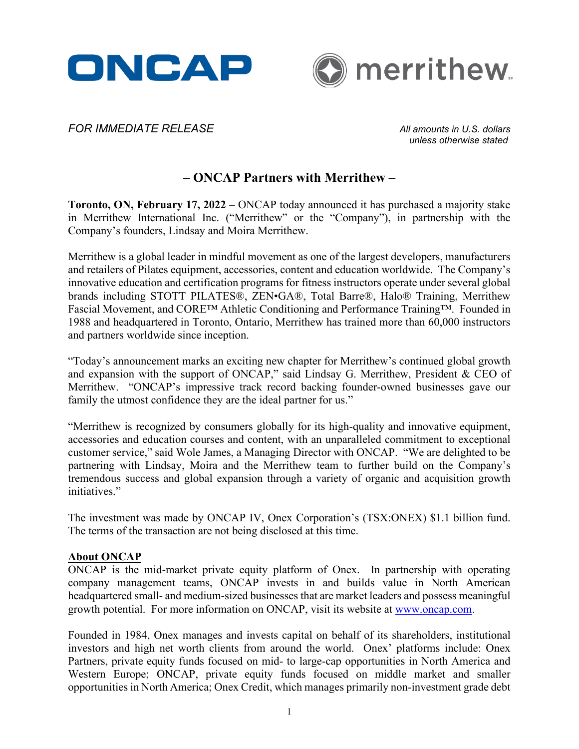



*FOR IMMEDIATE RELEASE All amounts in U.S. dollars*

*unless otherwise stated*

# **– ONCAP Partners with Merrithew –**

**Toronto, ON, February 17, 2022** – ONCAP today announced it has purchased a majority stake in Merrithew International Inc. ("Merrithew" or the "Company"), in partnership with the Company's founders, Lindsay and Moira Merrithew.

Merrithew is a global leader in mindful movement as one of the largest developers, manufacturers and retailers of Pilates equipment, accessories, content and education worldwide. The Company's innovative education and certification programs for fitness instructors operate under several global brands including STOTT PILATES®, ZEN•GA®, Total Barre®, Halo® Training, Merrithew Fascial Movement, and CORE™ Athletic Conditioning and Performance Training™. Founded in 1988 and headquartered in Toronto, Ontario, Merrithew has trained more than 60,000 instructors and partners worldwide since inception.

"Today's announcement marks an exciting new chapter for Merrithew's continued global growth and expansion with the support of ONCAP," said Lindsay G. Merrithew, President & CEO of Merrithew. "ONCAP's impressive track record backing founder-owned businesses gave our family the utmost confidence they are the ideal partner for us."

"Merrithew is recognized by consumers globally for its high-quality and innovative equipment, accessories and education courses and content, with an unparalleled commitment to exceptional customer service," said Wole James, a Managing Director with ONCAP. "We are delighted to be partnering with Lindsay, Moira and the Merrithew team to further build on the Company's tremendous success and global expansion through a variety of organic and acquisition growth initiatives."

The investment was made by ONCAP IV, Onex Corporation's (TSX:ONEX) \$1.1 billion fund. The terms of the transaction are not being disclosed at this time.

#### **About ONCAP**

ONCAP is the mid-market private equity platform of Onex. In partnership with operating company management teams, ONCAP invests in and builds value in North American headquartered small- and medium-sized businesses that are market leaders and possess meaningful growth potential. For more information on ONCAP, visit its website at [www.oncap.com.](http://www.oncap.com/)

Founded in 1984, Onex manages and invests capital on behalf of its shareholders, institutional investors and high net worth clients from around the world. Onex' platforms include: Onex Partners, private equity funds focused on mid- to large-cap opportunities in North America and Western Europe; ONCAP, private equity funds focused on middle market and smaller opportunities in North America; Onex Credit, which manages primarily non-investment grade debt